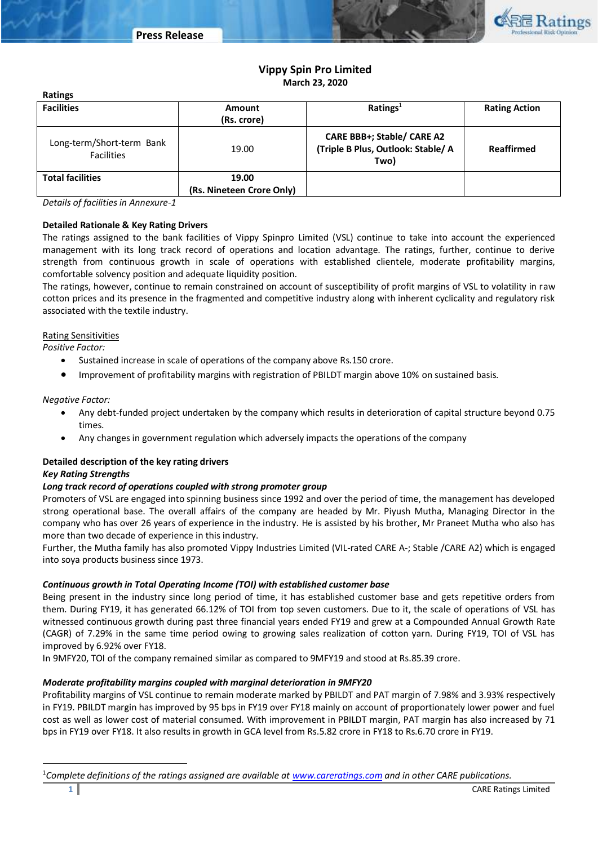

# **Vippy Spin Pro Limited March 23, 2020**

| <b>Facilities</b>                              | Amount<br>(Rs. crore)              | Ratings <sup>1</sup>                                                     | <b>Rating Action</b> |  |
|------------------------------------------------|------------------------------------|--------------------------------------------------------------------------|----------------------|--|
| Long-term/Short-term Bank<br><b>Facilities</b> | 19.00                              | CARE BBB+; Stable/ CARE A2<br>(Triple B Plus, Outlook: Stable/ A<br>Two) | Reaffirmed           |  |
| <b>Total facilities</b>                        | 19.00<br>(Rs. Nineteen Crore Only) |                                                                          |                      |  |

*Details of facilities in Annexure-1*

## **Detailed Rationale & Key Rating Drivers**

The ratings assigned to the bank facilities of Vippy Spinpro Limited (VSL) continue to take into account the experienced management with its long track record of operations and location advantage. The ratings, further, continue to derive strength from continuous growth in scale of operations with established clientele, moderate profitability margins, comfortable solvency position and adequate liquidity position.

The ratings, however, continue to remain constrained on account of susceptibility of profit margins of VSL to volatility in raw cotton prices and its presence in the fragmented and competitive industry along with inherent cyclicality and regulatory risk associated with the textile industry.

## Rating Sensitivities

*Positive Factor:*

**Ratings**

- Sustained increase in scale of operations of the company above Rs.150 crore.
- Improvement of profitability margins with registration of PBILDT margin above 10% on sustained basis.

### *Negative Factor:*

- Any debt-funded project undertaken by the company which results in deterioration of capital structure beyond 0.75 times.
- Any changes in government regulation which adversely impacts the operations of the company

## **Detailed description of the key rating drivers**

## *Key Rating Strengths*

 $\overline{\phantom{a}}$ 

## *Long track record of operations coupled with strong promoter group*

Promoters of VSL are engaged into spinning business since 1992 and over the period of time, the management has developed strong operational base. The overall affairs of the company are headed by Mr. Piyush Mutha, Managing Director in the company who has over 26 years of experience in the industry. He is assisted by his brother, Mr Praneet Mutha who also has more than two decade of experience in this industry.

Further, the Mutha family has also promoted Vippy Industries Limited (VIL-rated CARE A-; Stable /CARE A2) which is engaged into soya products business since 1973.

## *Continuous growth in Total Operating Income (TOI) with established customer base*

Being present in the industry since long period of time, it has established customer base and gets repetitive orders from them. During FY19, it has generated 66.12% of TOI from top seven customers. Due to it, the scale of operations of VSL has witnessed continuous growth during past three financial years ended FY19 and grew at a Compounded Annual Growth Rate (CAGR) of 7.29% in the same time period owing to growing sales realization of cotton yarn. During FY19, TOI of VSL has improved by 6.92% over FY18.

In 9MFY20, TOI of the company remained similar as compared to 9MFY19 and stood at Rs.85.39 crore.

## *Moderate profitability margins coupled with marginal deterioration in 9MFY20*

Profitability margins of VSL continue to remain moderate marked by PBILDT and PAT margin of 7.98% and 3.93% respectively in FY19. PBILDT margin has improved by 95 bps in FY19 over FY18 mainly on account of proportionately lower power and fuel cost as well as lower cost of material consumed. With improvement in PBILDT margin, PAT margin has also increased by 71 bps in FY19 over FY18. It also results in growth in GCA level from Rs.5.82 crore in FY18 to Rs.6.70 crore in FY19.

<sup>1</sup>*Complete definitions of the ratings assigned are available at [www.careratings.com](http://www.careratings.com/) and in other CARE publications.*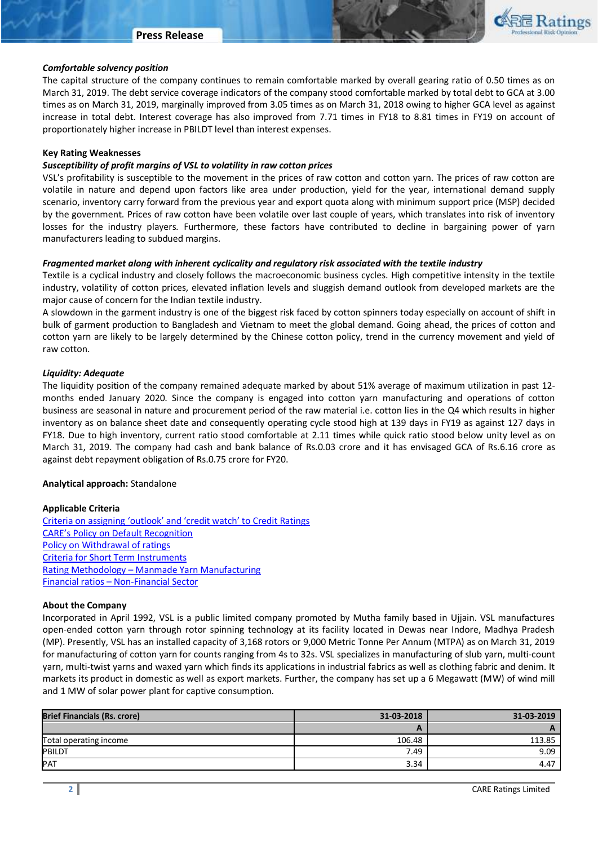

#### *Comfortable solvency position*

The capital structure of the company continues to remain comfortable marked by overall gearing ratio of 0.50 times as on March 31, 2019. The debt service coverage indicators of the company stood comfortable marked by total debt to GCA at 3.00 times as on March 31, 2019, marginally improved from 3.05 times as on March 31, 2018 owing to higher GCA level as against increase in total debt. Interest coverage has also improved from 7.71 times in FY18 to 8.81 times in FY19 on account of proportionately higher increase in PBILDT level than interest expenses.

#### **Key Rating Weaknesses**

#### *Susceptibility of profit margins of VSL to volatility in raw cotton prices*

VSL's profitability is susceptible to the movement in the prices of raw cotton and cotton yarn. The prices of raw cotton are volatile in nature and depend upon factors like area under production, yield for the year, international demand supply scenario, inventory carry forward from the previous year and export quota along with minimum support price (MSP) decided by the government. Prices of raw cotton have been volatile over last couple of years, which translates into risk of inventory losses for the industry players. Furthermore, these factors have contributed to decline in bargaining power of yarn manufacturers leading to subdued margins.

#### *Fragmented market along with inherent cyclicality and regulatory risk associated with the textile industry*

Textile is a cyclical industry and closely follows the macroeconomic business cycles. High competitive intensity in the textile industry, volatility of cotton prices, elevated inflation levels and sluggish demand outlook from developed markets are the major cause of concern for the Indian textile industry.

A slowdown in the garment industry is one of the biggest risk faced by cotton spinners today especially on account of shift in bulk of garment production to Bangladesh and Vietnam to meet the global demand. Going ahead, the prices of cotton and cotton yarn are likely to be largely determined by the Chinese cotton policy, trend in the currency movement and yield of raw cotton.

#### *Liquidity: Adequate*

The liquidity position of the company remained adequate marked by about 51% average of maximum utilization in past 12 months ended January 2020. Since the company is engaged into cotton yarn manufacturing and operations of cotton business are seasonal in nature and procurement period of the raw material i.e. cotton lies in the Q4 which results in higher inventory as on balance sheet date and consequently operating cycle stood high at 139 days in FY19 as against 127 days in FY18. Due to high inventory, current ratio stood comfortable at 2.11 times while quick ratio stood below unity level as on March 31, 2019. The company had cash and bank balance of Rs.0.03 crore and it has envisaged GCA of Rs.6.16 crore as against debt repayment obligation of Rs.0.75 crore for FY20.

#### **Analytical approach:** Standalone

#### **Applicable Criteria**

[Criteria on assigning 'outlook' and 'credit watch' to Credit Ratings](http://www.careratings.com/pdf/resources/Rating_Outlook_and_credit_watch_May_2019.pdf) [CARE's Policy on Default Recognition](file:///C:/Users/ayush.khandelwal/AppData/Local/Microsoft/Windows/INetCache/ayush.khandelwal/AppData/Local/Microsoft/Windows/INetCache/Content.Outlook/DHBNWJ2V/Sanction%20Limit%20–%20Fund%20Based%20-Rs.22%20crore,%20Non%20Fund%20based%20–%20Rs0.30%20crore.%20Disbursed%20in%20December%202019.%20Interest%20rate%20–%208.60%25,%20Utilization%20of%20fund%20based%20–%2060-70%25) [Policy on Withdrawal of ratings](http://www.careratings.com/pdf/resources/CARECreditRatingProcess.pdf) [Criteria for Short Term Instruments](http://www.careratings.com/upload/NewsFiles/GetRated/Short%20Term%20Instruments.pdf) Rating Methodology – [Manmade Yarn Manufacturing](http://www.careratings.com/upload/NewsFiles/GetRated/Rating%20Methodology%20for%20Manmade%20Yarn%20Manufacturing%20Sector%20Dec2019.pdf) Financial ratios – [Non-Financial Sector](http://www.careratings.com/pdf/resources/Financial%20ratios%20-%20Non%20Financial%20Sector-Sept2019.pdf)

#### **About the Company**

Incorporated in April 1992, VSL is a public limited company promoted by Mutha family based in Ujjain. VSL manufactures open-ended cotton yarn through rotor spinning technology at its facility located in Dewas near Indore, Madhya Pradesh (MP). Presently, VSL has an installed capacity of 3,168 rotors or 9,000 Metric Tonne Per Annum (MTPA) as on March 31, 2019 for manufacturing of cotton yarn for counts ranging from 4s to 32s. VSL specializes in manufacturing of slub yarn, multi-count yarn, multi-twist yarns and waxed yarn which finds its applications in industrial fabrics as well as clothing fabric and denim. It markets its product in domestic as well as export markets. Further, the company has set up a 6 Megawatt (MW) of wind mill and 1 MW of solar power plant for captive consumption.

| <b>Brief Financials (Rs. crore)</b> | 31-03-2018 | 31-03-2019 |  |
|-------------------------------------|------------|------------|--|
|                                     | r          |            |  |
| Total operating income              | 106.48     | 113.85     |  |
| <b>PBILDT</b>                       | 7.49       | 9.09       |  |
| PAT                                 | 3.34       | 4.47       |  |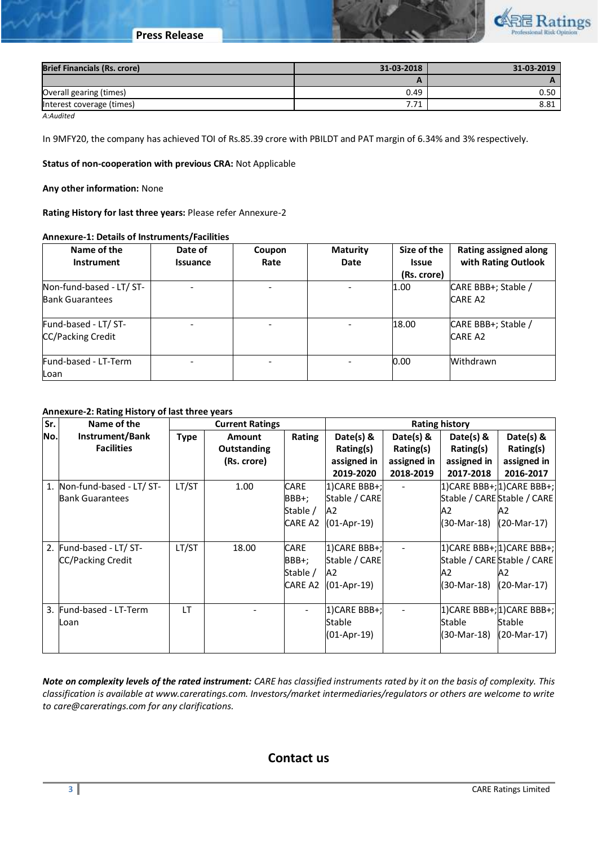

| <b>Brief Financials (Rs. crore)</b> | 31-03-2018 | 31-03-2019 |
|-------------------------------------|------------|------------|
|                                     | -          |            |
| Overall gearing (times)             | 0.49       | 0.50       |
| Interest coverage (times)           | 7.71       | 8.81       |

*A:Audited*

In 9MFY20, the company has achieved TOI of Rs.85.39 crore with PBILDT and PAT margin of 6.34% and 3% respectively.

**Status of non-cooperation with previous CRA:** Not Applicable

**Any other information:** None

**Rating History for last three years:** Please refer Annexure-2

### **Annexure-1: Details of Instruments/Facilities**

| Name of the              | Date of         | Coupon | <b>Maturity</b> | Size of the  | <b>Rating assigned along</b> |
|--------------------------|-----------------|--------|-----------------|--------------|------------------------------|
| <b>Instrument</b>        | <b>Issuance</b> | Rate   | Date            | <b>Issue</b> | with Rating Outlook          |
|                          |                 |        |                 | (Rs. crore)  |                              |
| Non-fund-based - LT/ ST- |                 |        |                 | 1.00         | CARE BBB+; Stable /          |
| <b>Bank Guarantees</b>   |                 |        |                 |              | <b>CARE A2</b>               |
| Fund-based - LT/ ST-     |                 |        |                 | 18.00        | CARE BBB+; Stable /          |
| <b>CC/Packing Credit</b> |                 |        |                 |              | <b>CARE A2</b>               |
| Fund-based - LT-Term     |                 |        |                 | 0.00         | Withdrawn                    |
| Loan                     |                 |        |                 |              |                              |

## **Annexure-2: Rating History of last three years**

| Sr.              | Name of the                 | <b>Current Ratings</b> |               | <b>Rating history</b>    |               |             |               |                             |
|------------------|-----------------------------|------------------------|---------------|--------------------------|---------------|-------------|---------------|-----------------------------|
| No.              | Instrument/Bank             | <b>Type</b>            | <b>Amount</b> | Rating                   | Date(s) $8$   | Date(s) $8$ | Date(s) $\&$  | Date( $s$ ) &               |
|                  | <b>Facilities</b>           |                        | Outstanding   |                          | Rating(s)     | Rating(s)   | Rating(s)     | Rating(s)                   |
|                  |                             |                        | (Rs. crore)   |                          | assigned in   | assigned in | assigned in   | assigned in                 |
|                  |                             |                        |               |                          | 2019-2020     | 2018-2019   | 2017-2018     | 2016-2017                   |
|                  | 1. Non-fund-based - LT/ ST- | LT/ST                  | 1.00          | <b>CARE</b>              | 1)CARE BBB+;  |             |               | 1) CARE BBB+; 1) CARE BBB+; |
|                  | <b>Bank Guarantees</b>      |                        |               | BBB+;                    | Stable / CARE |             |               | Stable / CARE Stable / CARE |
|                  |                             |                        |               | Stable /                 | A2            |             | A2            | А2                          |
|                  |                             |                        |               | <b>CARE A2</b>           | (01-Apr-19)   |             | (30-Mar-18)   | (20-Mar-17)                 |
|                  |                             |                        |               |                          |               |             |               |                             |
| $\overline{2}$ . | Fund-based - LT/ ST-        | LT/ST                  | 18.00         | <b>CARE</b>              | 1)CARE BBB+;  |             |               | 1) CARE BBB+; 1) CARE BBB+; |
|                  | CC/Packing Credit           |                        |               | BBB+;                    | Stable / CARE |             |               | Stable / CARE Stable / CARE |
|                  |                             |                        |               | Stable /                 | A2            |             | A2            | A2                          |
|                  |                             |                        |               | CARE A2                  | (01-Apr-19)   |             | (30-Mar-18)   | (20-Mar-17)                 |
|                  |                             |                        |               |                          |               |             |               |                             |
|                  | 3. Fund-based - LT-Term     | IT.                    |               | $\overline{\phantom{a}}$ | 1)CARE BBB+;  |             |               | 1) CARE BBB+; 1) CARE BBB+; |
|                  | Loan                        |                        |               |                          | Stable        |             | <b>Stable</b> | Stable                      |
|                  |                             |                        |               |                          | (01-Apr-19)   |             | (30-Mar-18)   | (20-Mar-17)                 |
|                  |                             |                        |               |                          |               |             |               |                             |

*Note on complexity levels of the rated instrument: CARE has classified instruments rated by it on the basis of complexity. This classification is available at www.careratings.com. Investors/market intermediaries/regulators or others are welcome to write to care@careratings.com for any clarifications.*